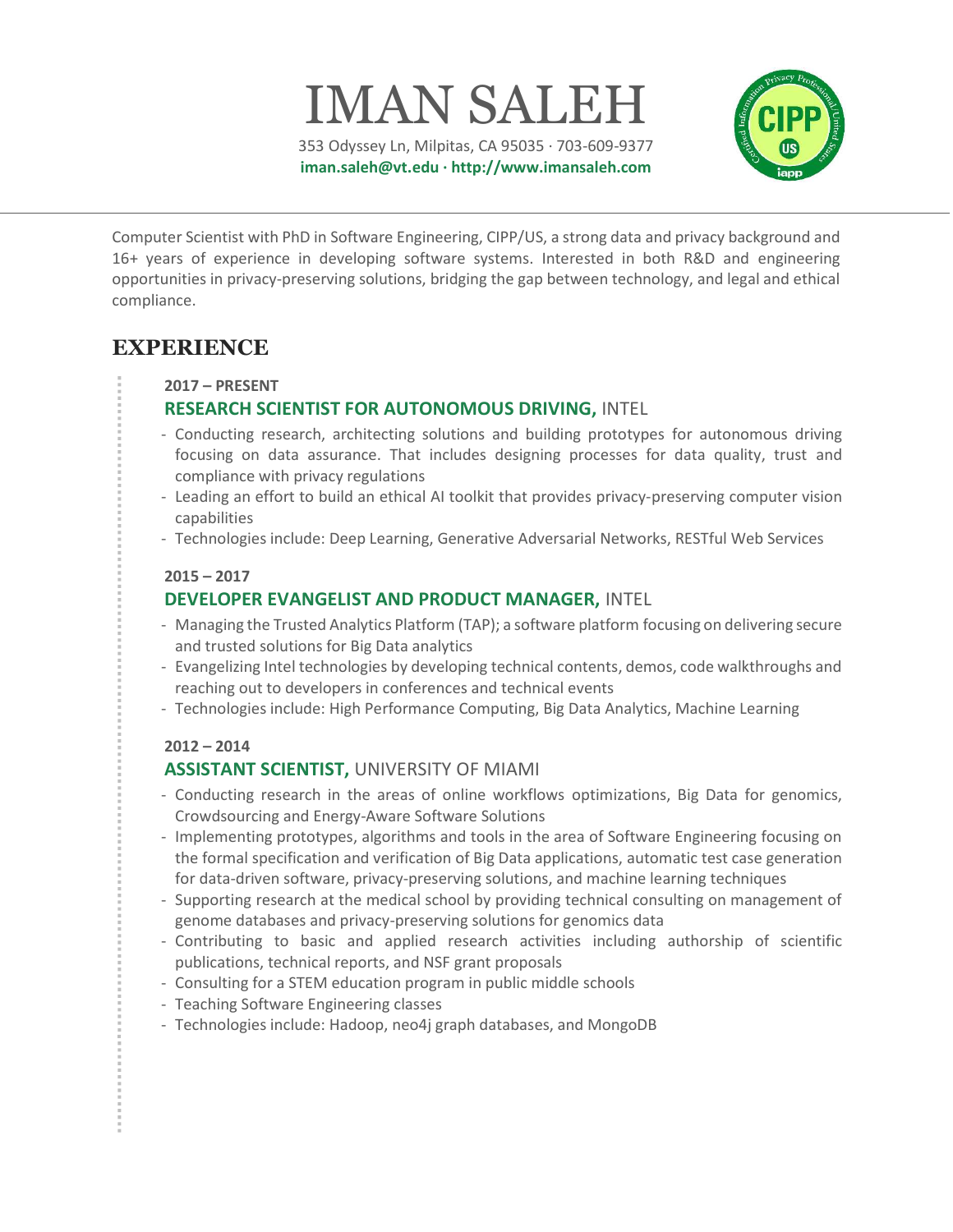353 Odyssey Ln, Milpitas, CA 95035 · 703-609-9377 iman.saleh@vt.edu · http://www.imansaleh.com

IMAN SALEH



Computer Scientist with PhD in Software Engineering, CIPP/US, a strong data and privacy background and 16+ years of experience in developing software systems. Interested in both R&D and engineering opportunities in privacy-preserving solutions, bridging the gap between technology, and legal and ethical compliance.

## EXPERIENCE

#### 2017 – PRESENT

### RESEARCH SCIENTIST FOR AUTONOMOUS DRIVING, INTEL

- Conducting research, architecting solutions and building prototypes for autonomous driving focusing on data assurance. That includes designing processes for data quality, trust and compliance with privacy regulations
- Leading an effort to build an ethical AI toolkit that provides privacy-preserving computer vision capabilities
- Technologies include: Deep Learning, Generative Adversarial Networks, RESTful Web Services

#### 2015 – 2017

### DEVELOPER EVANGELIST AND PRODUCT MANAGER, INTEL

- Managing the Trusted Analytics Platform (TAP); a software platform focusing on delivering secure and trusted solutions for Big Data analytics
- Evangelizing Intel technologies by developing technical contents, demos, code walkthroughs and reaching out to developers in conferences and technical events
- Technologies include: High Performance Computing, Big Data Analytics, Machine Learning

#### 2012 – 2014

## ASSISTANT SCIENTIST, UNIVERSITY OF MIAMI

- Conducting research in the areas of online workflows optimizations, Big Data for genomics, Crowdsourcing and Energy-Aware Software Solutions
- Implementing prototypes, algorithms and tools in the area of Software Engineering focusing on the formal specification and verification of Big Data applications, automatic test case generation for data-driven software, privacy-preserving solutions, and machine learning techniques
- Supporting research at the medical school by providing technical consulting on management of genome databases and privacy-preserving solutions for genomics data
- Contributing to basic and applied research activities including authorship of scientific publications, technical reports, and NSF grant proposals
- Consulting for a STEM education program in public middle schools
- Teaching Software Engineering classes
- Technologies include: Hadoop, neo4j graph databases, and MongoDB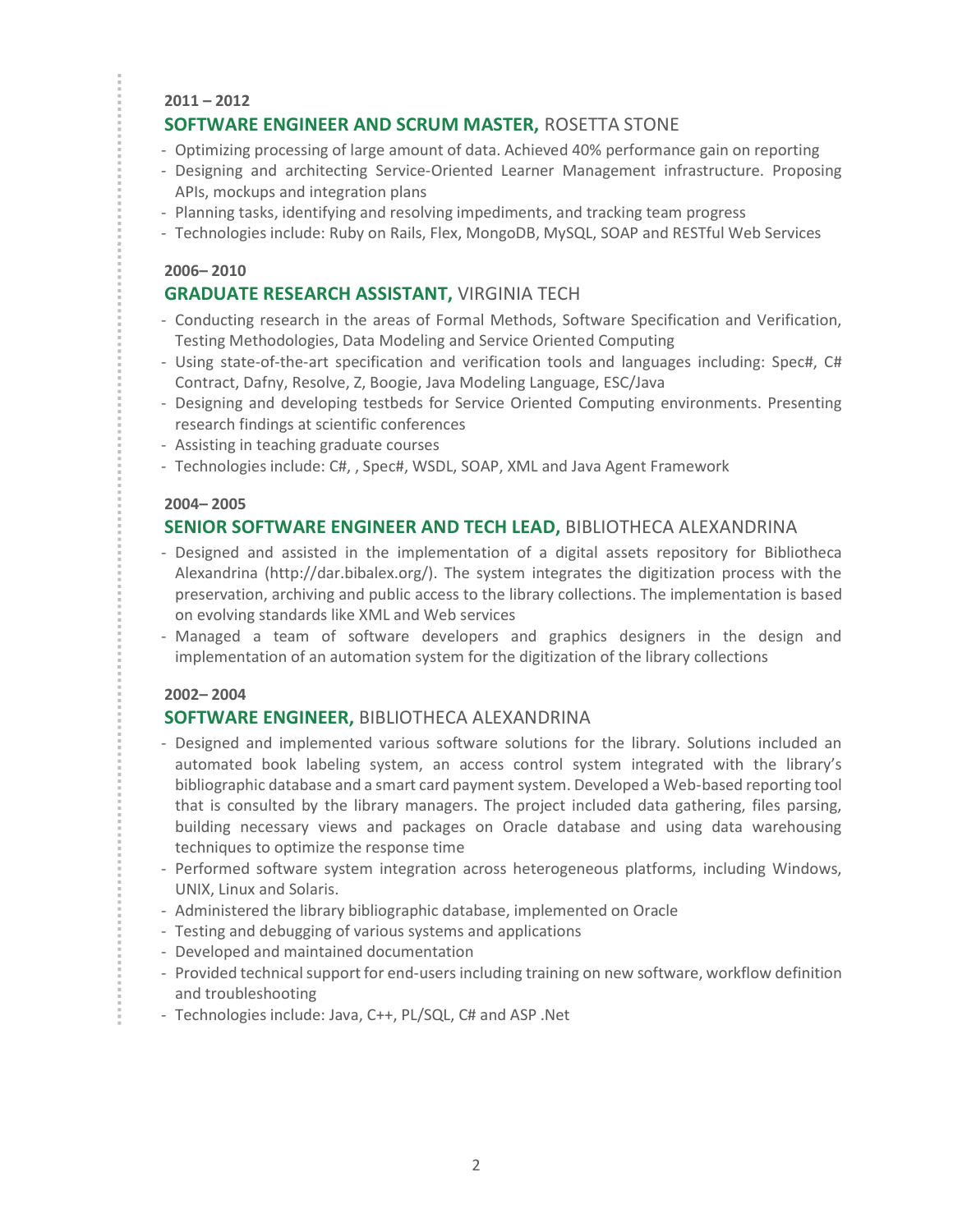#### 2011 – 2012

### SOFTWARE ENGINEER AND SCRUM MASTER, ROSETTA STONE

- Optimizing processing of large amount of data. Achieved 40% performance gain on reporting
- Designing and architecting Service-Oriented Learner Management infrastructure. Proposing APIs, mockups and integration plans
- Planning tasks, identifying and resolving impediments, and tracking team progress
- Technologies include: Ruby on Rails, Flex, MongoDB, MySQL, SOAP and RESTful Web Services

#### 2006– 2010

### GRADUATE RESEARCH ASSISTANT, VIRGINIA TECH

- Conducting research in the areas of Formal Methods, Software Specification and Verification, Testing Methodologies, Data Modeling and Service Oriented Computing
- Using state-of-the-art specification and verification tools and languages including: Spec#, C# Contract, Dafny, Resolve, Z, Boogie, Java Modeling Language, ESC/Java
- Designing and developing testbeds for Service Oriented Computing environments. Presenting research findings at scientific conferences
- Assisting in teaching graduate courses
- Technologies include: C#, , Spec#, WSDL, SOAP, XML and Java Agent Framework

#### 2004– 2005

### SENIOR SOFTWARE ENGINEER AND TECH LEAD, BIBLIOTHECA ALEXANDRINA

- Designed and assisted in the implementation of a digital assets repository for Bibliotheca Alexandrina (http://dar.bibalex.org/). The system integrates the digitization process with the preservation, archiving and public access to the library collections. The implementation is based on evolving standards like XML and Web services
- Managed a team of software developers and graphics designers in the design and implementation of an automation system for the digitization of the library collections

#### 2002– 2004

### SOFTWARE ENGINEER, BIBLIOTHECA ALEXANDRINA

- Designed and implemented various software solutions for the library. Solutions included an automated book labeling system, an access control system integrated with the library's bibliographic database and a smart card payment system. Developed a Web-based reporting tool that is consulted by the library managers. The project included data gathering, files parsing, building necessary views and packages on Oracle database and using data warehousing techniques to optimize the response time
- Performed software system integration across heterogeneous platforms, including Windows, UNIX, Linux and Solaris.
- Administered the library bibliographic database, implemented on Oracle
- Testing and debugging of various systems and applications
- Developed and maintained documentation
- Provided technical support for end-users including training on new software, workflow definition and troubleshooting
- Technologies include: Java, C++, PL/SQL, C# and ASP .Net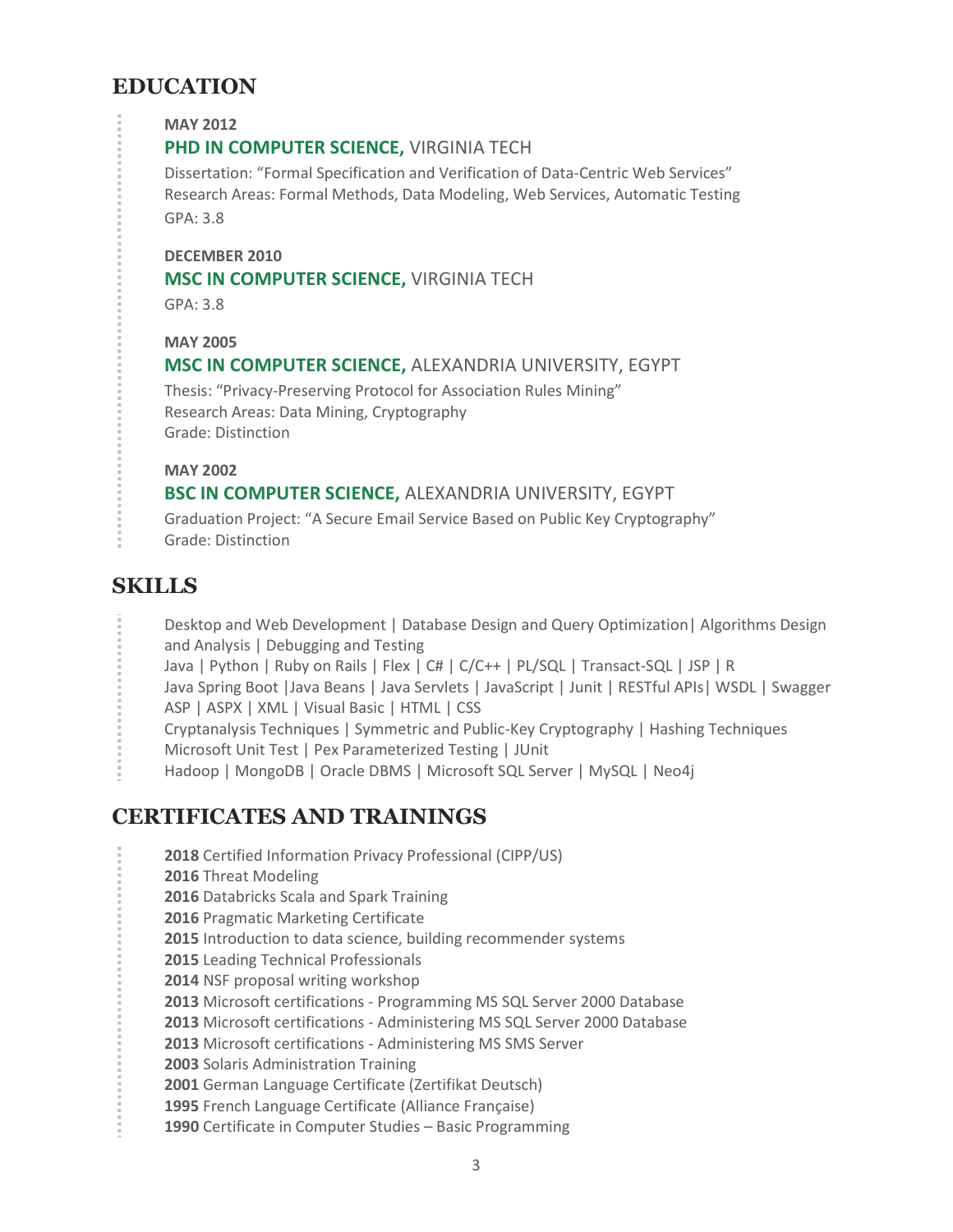# EDUCATION

MAY 2012

### PHD IN COMPUTER SCIENCE, VIRGINIA TECH

Dissertation: "Formal Specification and Verification of Data-Centric Web Services" Research Areas: Formal Methods, Data Modeling, Web Services, Automatic Testing GPA: 3.8

#### DECEMBER 2010

#### MSC IN COMPUTER SCIENCE, VIRGINIA TECH

GPA: 3.8

#### MAY 2005

#### MSC IN COMPUTER SCIENCE, ALEXANDRIA UNIVERSITY, EGYPT

Thesis: "Privacy-Preserving Protocol for Association Rules Mining" Research Areas: Data Mining, Cryptography Grade: Distinction

#### MAY 2002

### BSC IN COMPUTER SCIENCE, ALEXANDRIA UNIVERSITY, EGYPT

Graduation Project: "A Secure Email Service Based on Public Key Cryptography" Grade: Distinction

## **SKILLS**

- Desktop and Web Development | Database Design and Query Optimization| Algorithms Design and Analysis | Debugging and Testing
- Java | Python | Ruby on Rails | Flex | C# | C/C++ | PL/SQL | Transact-SQL | JSP | R
- Java Spring Boot |Java Beans | Java Servlets | JavaScript | Junit | RESTful APIs| WSDL | Swagger ASP | ASPX | XML | Visual Basic | HTML | CSS
- Cryptanalysis Techniques | Symmetric and Public-Key Cryptography | Hashing Techniques
- Microsoft Unit Test | Pex Parameterized Testing | JUnit
- Hadoop | MongoDB | Oracle DBMS | Microsoft SQL Server | MySQL | Neo4j

# CERTIFICATES AND TRAININGS

- 2018 Certified Information Privacy Professional (CIPP/US)
- 2016 Threat Modeling
- 2016 Databricks Scala and Spark Training
- 2016 Pragmatic Marketing Certificate
- 2015 Introduction to data science, building recommender systems
- 2015 Leading Technical Professionals
- 2014 NSF proposal writing workshop
- 2013 Microsoft certifications Programming MS SQL Server 2000 Database
- 2013 Microsoft certifications Administering MS SQL Server 2000 Database
- 2013 Microsoft certifications Administering MS SMS Server
- 2003 Solaris Administration Training
- 2001 German Language Certificate (Zertifikat Deutsch)
- 1995 French Language Certificate (Alliance Française)
- 1990 Certificate in Computer Studies Basic Programming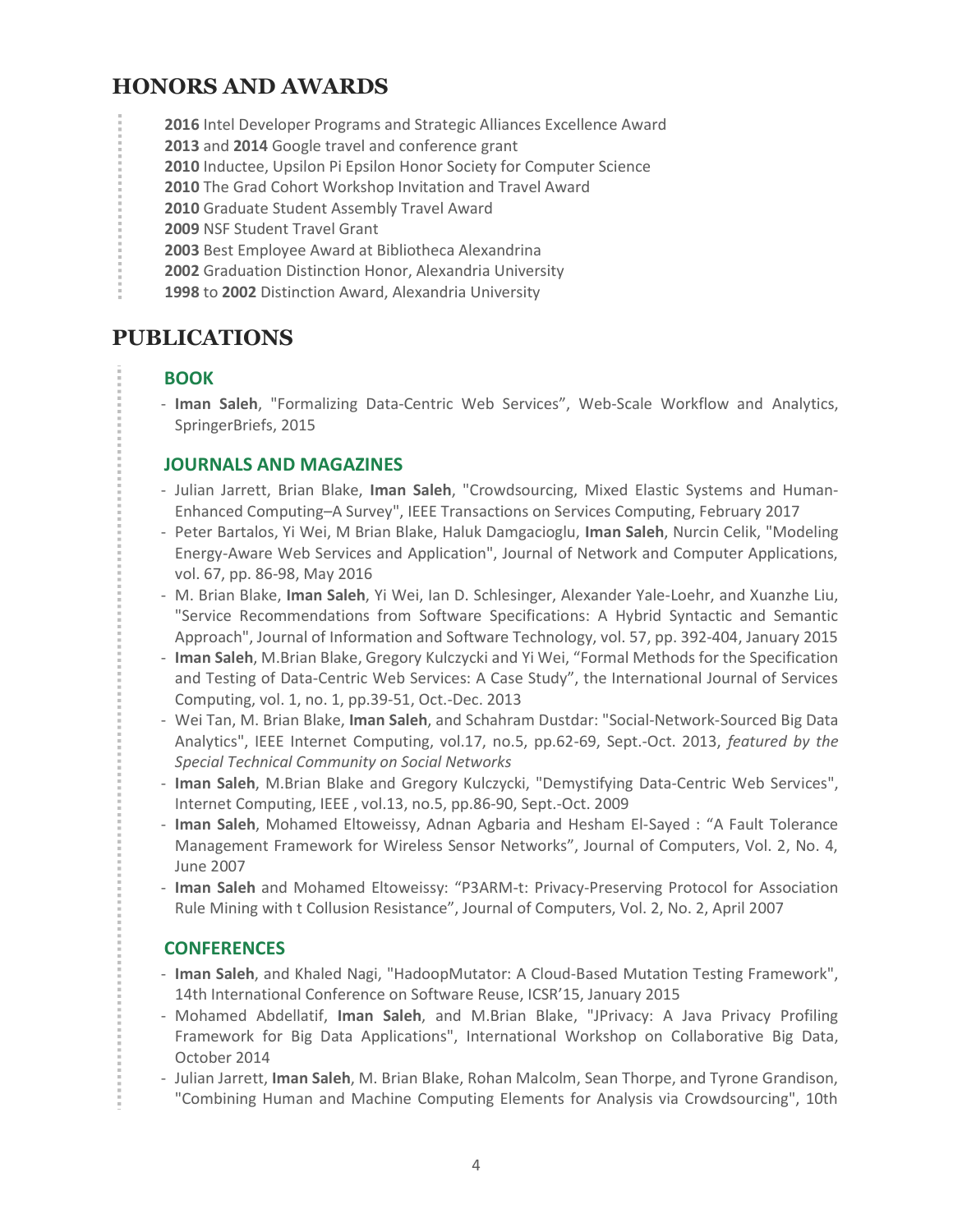# HONORS AND AWARDS

2016 Intel Developer Programs and Strategic Alliances Excellence Award

2013 and 2014 Google travel and conference grant

- 2010 Inductee, Upsilon Pi Epsilon Honor Society for Computer Science
- 2010 The Grad Cohort Workshop Invitation and Travel Award
- 2010 Graduate Student Assembly Travel Award
- 2009 NSF Student Travel Grant
- 2003 Best Employee Award at Bibliotheca Alexandrina
- 2002 Graduation Distinction Honor, Alexandria University
- 1998 to 2002 Distinction Award, Alexandria University

# PUBLICATIONS

## BOOK

- Iman Saleh, "Formalizing Data-Centric Web Services", Web-Scale Workflow and Analytics, SpringerBriefs, 2015

### JOURNALS AND MAGAZINES

- Julian Jarrett, Brian Blake, Iman Saleh, "Crowdsourcing, Mixed Elastic Systems and Human-Enhanced Computing–A Survey", IEEE Transactions on Services Computing, February 2017
- Peter Bartalos, Yi Wei, M Brian Blake, Haluk Damgacioglu, Iman Saleh, Nurcin Celik, "Modeling Energy-Aware Web Services and Application", Journal of Network and Computer Applications, vol. 67, pp. 86-98, May 2016
- M. Brian Blake, Iman Saleh, Yi Wei, Ian D. Schlesinger, Alexander Yale-Loehr, and Xuanzhe Liu, "Service Recommendations from Software Specifications: A Hybrid Syntactic and Semantic Approach", Journal of Information and Software Technology, vol. 57, pp. 392-404, January 2015
- Iman Saleh, M.Brian Blake, Gregory Kulczycki and Yi Wei, "Formal Methods for the Specification and Testing of Data-Centric Web Services: A Case Study", the International Journal of Services Computing, vol. 1, no. 1, pp.39-51, Oct.-Dec. 2013
- Wei Tan, M. Brian Blake, Iman Saleh, and Schahram Dustdar: "Social-Network-Sourced Big Data Analytics", IEEE Internet Computing, vol.17, no.5, pp.62-69, Sept.-Oct. 2013, featured by the Special Technical Community on Social Networks
- Iman Saleh, M.Brian Blake and Gregory Kulczycki, "Demystifying Data-Centric Web Services", Internet Computing, IEEE , vol.13, no.5, pp.86-90, Sept.-Oct. 2009
- Iman Saleh, Mohamed Eltoweissy, Adnan Agbaria and Hesham El-Sayed : "A Fault Tolerance Management Framework for Wireless Sensor Networks", Journal of Computers, Vol. 2, No. 4, June 2007
- Iman Saleh and Mohamed Eltoweissy: "P3ARM-t: Privacy-Preserving Protocol for Association Rule Mining with t Collusion Resistance", Journal of Computers, Vol. 2, No. 2, April 2007

## **CONFERENCES**

- Iman Saleh, and Khaled Nagi, "HadoopMutator: A Cloud-Based Mutation Testing Framework", 14th International Conference on Software Reuse, ICSR'15, January 2015
- Mohamed Abdellatif, Iman Saleh, and M.Brian Blake, "JPrivacy: A Java Privacy Profiling Framework for Big Data Applications", International Workshop on Collaborative Big Data, October 2014
- Julian Jarrett, Iman Saleh, M. Brian Blake, Rohan Malcolm, Sean Thorpe, and Tyrone Grandison, "Combining Human and Machine Computing Elements for Analysis via Crowdsourcing", 10th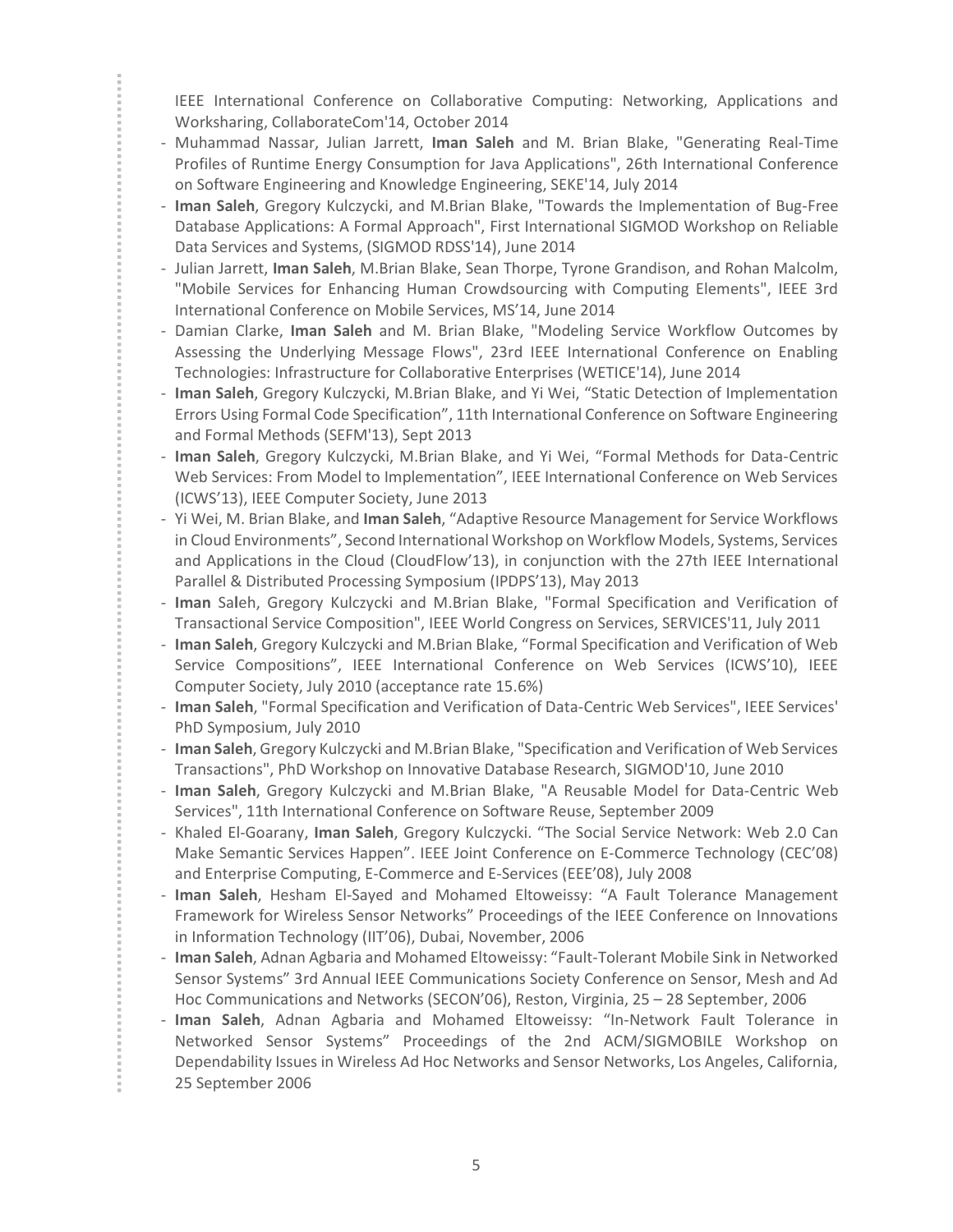IEEE International Conference on Collaborative Computing: Networking, Applications and Worksharing, CollaborateCom'14, October 2014

- Muhammad Nassar, Julian Jarrett, Iman Saleh and M. Brian Blake, "Generating Real-Time Profiles of Runtime Energy Consumption for Java Applications", 26th International Conference on Software Engineering and Knowledge Engineering, SEKE'14, July 2014
- Iman Saleh, Gregory Kulczycki, and M.Brian Blake, "Towards the Implementation of Bug-Free Database Applications: A Formal Approach", First International SIGMOD Workshop on Reliable Data Services and Systems, (SIGMOD RDSS'14), June 2014
- Julian Jarrett, Iman Saleh, M.Brian Blake, Sean Thorpe, Tyrone Grandison, and Rohan Malcolm, "Mobile Services for Enhancing Human Crowdsourcing with Computing Elements", IEEE 3rd International Conference on Mobile Services, MS'14, June 2014
- Damian Clarke, Iman Saleh and M. Brian Blake, "Modeling Service Workflow Outcomes by Assessing the Underlying Message Flows", 23rd IEEE International Conference on Enabling Technologies: Infrastructure for Collaborative Enterprises (WETICE'14), June 2014
- Iman Saleh, Gregory Kulczycki, M.Brian Blake, and Yi Wei, "Static Detection of Implementation Errors Using Formal Code Specification", 11th International Conference on Software Engineering and Formal Methods (SEFM'13), Sept 2013
- Iman Saleh, Gregory Kulczycki, M.Brian Blake, and Yi Wei, "Formal Methods for Data-Centric Web Services: From Model to Implementation", IEEE International Conference on Web Services (ICWS'13), IEEE Computer Society, June 2013
- Yi Wei, M. Brian Blake, and Iman Saleh, "Adaptive Resource Management for Service Workflows in Cloud Environments", Second International Workshop on Workflow Models, Systems, Services and Applications in the Cloud (CloudFlow'13), in conjunction with the 27th IEEE International Parallel & Distributed Processing Symposium (IPDPS'13), May 2013
- Iman Saleh, Gregory Kulczycki and M.Brian Blake, "Formal Specification and Verification of Transactional Service Composition", IEEE World Congress on Services, SERVICES'11, July 2011
- Iman Saleh, Gregory Kulczycki and M.Brian Blake, "Formal Specification and Verification of Web Service Compositions", IEEE International Conference on Web Services (ICWS'10), IEEE Computer Society, July 2010 (acceptance rate 15.6%)
- Iman Saleh, "Formal Specification and Verification of Data-Centric Web Services", IEEE Services' PhD Symposium, July 2010
- Iman Saleh, Gregory Kulczycki and M.Brian Blake, "Specification and Verification of Web Services Transactions", PhD Workshop on Innovative Database Research, SIGMOD'10, June 2010
- Iman Saleh, Gregory Kulczycki and M.Brian Blake, "A Reusable Model for Data-Centric Web Services", 11th International Conference on Software Reuse, September 2009
- Khaled El-Goarany, Iman Saleh, Gregory Kulczycki. "The Social Service Network: Web 2.0 Can Make Semantic Services Happen". IEEE Joint Conference on E-Commerce Technology (CEC'08) and Enterprise Computing, E-Commerce and E-Services (EEE'08), July 2008
- Iman Saleh, Hesham El-Sayed and Mohamed Eltoweissy: "A Fault Tolerance Management Framework for Wireless Sensor Networks" Proceedings of the IEEE Conference on Innovations in Information Technology (IIT'06), Dubai, November, 2006
- Iman Saleh, Adnan Agbaria and Mohamed Eltoweissy: "Fault-Tolerant Mobile Sink in Networked Sensor Systems" 3rd Annual IEEE Communications Society Conference on Sensor, Mesh and Ad Hoc Communications and Networks (SECON'06), Reston, Virginia, 25 – 28 September, 2006
- Iman Saleh, Adnan Agbaria and Mohamed Eltoweissy: "In-Network Fault Tolerance in Networked Sensor Systems" Proceedings of the 2nd ACM/SIGMOBILE Workshop on Dependability Issues in Wireless Ad Hoc Networks and Sensor Networks, Los Angeles, California, 25 September 2006